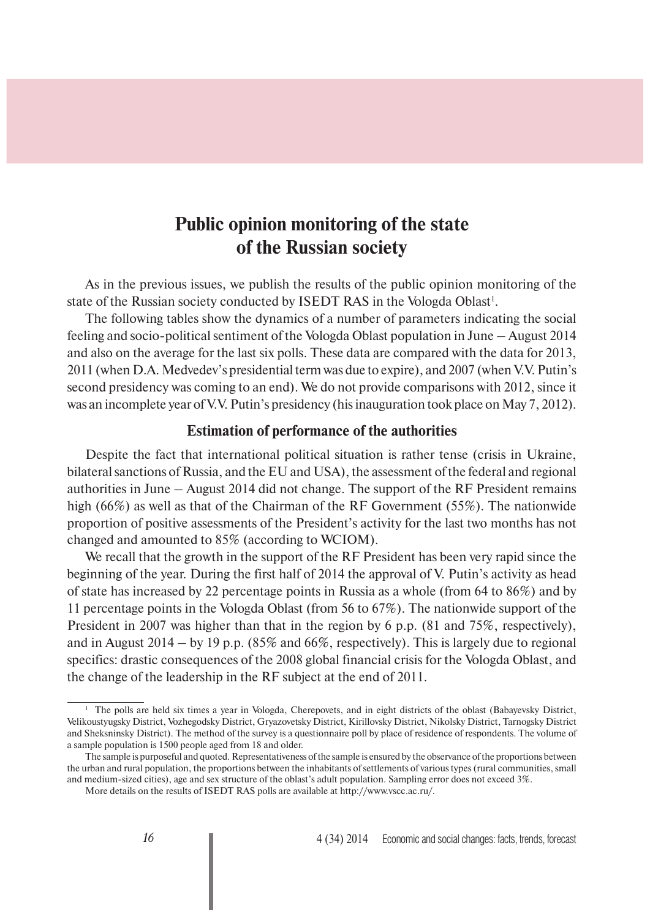# **Public opinion monitoring of the state of the Russian society**

As in the previous issues, we publish the results of the public opinion monitoring of the state of the Russian society conducted by ISEDT RAS in the Vologda Oblast<sup>1</sup>.

The following tables show the dynamics of a number of parameters indicating the social feeling and socio-political sentiment of the Vologda Oblast population in June – August 2014 and also on the average for the last six polls. These data are compared with the data for 2013, 2011 (when D.A. Medvedev's presidential term was due to expire), and 2007 (when V.V. Putin's second presidency was coming to an end). We do not provide comparisons with 2012, since it was an incomplete year of V.V. Putin's presidency (his inauguration took place on May 7, 2012).

### **Estimation of performance of the authorities**

Despite the fact that international political situation is rather tense (crisis in Ukraine, bilateral sanctions of Russia, and the EU and USA), the assessment of the federal and regional authorities in June – August 2014 did not change. The support of the RF President remains high (66%) as well as that of the Chairman of the RF Government (55%). The nationwide proportion of positive assessments of the President's activity for the last two months has not changed and amounted to 85% (according to WCIOM).

We recall that the growth in the support of the RF President has been very rapid since the beginning of the year. During the first half of 2014 the approval of V. Putin's activity as head of state has increased by 22 percentage points in Russia as a whole (from 64 to 86%) and by 11 percentage points in the Vologda Oblast (from 56 to 67%). The nationwide support of the President in 2007 was higher than that in the region by 6 p.p. (81 and 75%, respectively), and in August 2014 – by 19 p.p. (85% and 66%, respectively). This is largely due to regional specifics: drastic consequences of the 2008 global financial crisis for the Vologda Oblast, and the change of the leadership in the RF subject at the end of 2011.

<sup>&</sup>lt;sup>1</sup> The polls are held six times a year in Vologda, Cherepovets, and in eight districts of the oblast (Babayevsky District, Velikoustyugsky District, Vozhegodsky District, Gryazovetsky District, Kirillovsky District, Nikolsky District, Tarnogsky District and Sheksninsky District). The method of the survey is a questionnaire poll by place of residence of respondents. The volume of a sample population is 1500 people aged from 18 and older.

The sample is purposeful and quoted. Representativeness of the sample is ensured by the observance of the proportions between the urban and rural population, the proportions between the inhabitants of settlements of various types (rural communities, small and medium-sized cities), age and sex structure of the oblast's adult population. Sampling error does not exceed 3%.

More details on the results of ISEDT RAS polls are available at http://www.vscc.ac.ru/.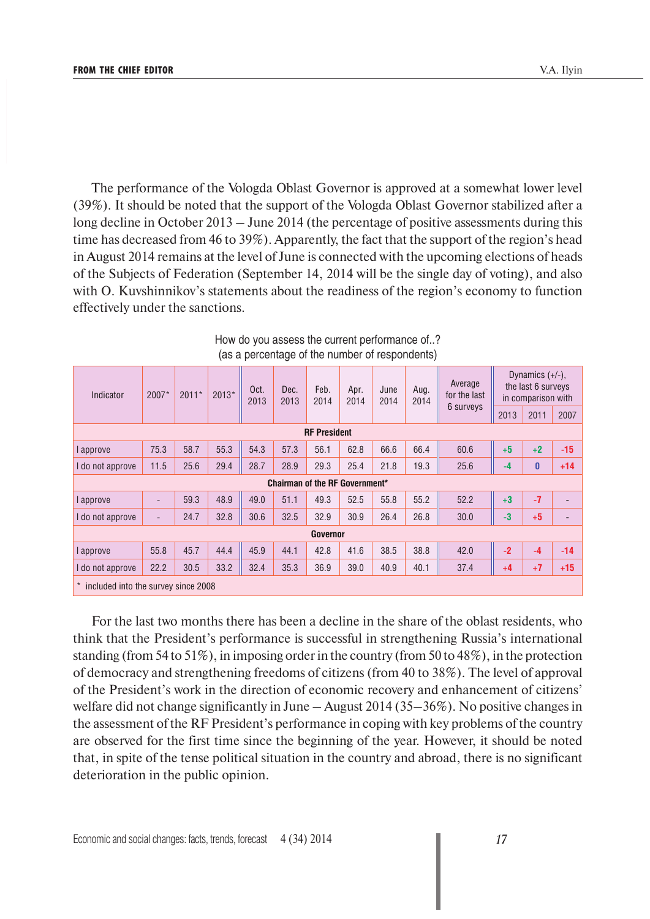The performance of the Vologda Oblast Governor is approved at a somewhat lower level (39%). It should be noted that the support of the Vologda Oblast Governor stabilized after a long decline in October 2013 – June 2014 (the percentage of positive assessments during this time has decreased from 46 to 39%). Apparently, the fact that the support of the region's head in August 2014 remains at the level of June is connected with the upcoming elections of heads of the Subjects of Federation (September 14, 2014 will be the single day of voting), and also with O. Kuvshinnikov's statements about the readiness of the region's economy to function effectively under the sanctions.

| Indicator                             | $2007*$                             | $2011*$ | $2013*$ | Oct.<br>2013 | Dec.<br>2013 | Feb.<br>2014 | Apr.<br>2014 | June<br>2014 |      |           | Aug.<br>2014 | Average<br>for the last | Dynamics $(+/-)$ ,<br>the last 6 surveys<br>in comparison with |  |
|---------------------------------------|-------------------------------------|---------|---------|--------------|--------------|--------------|--------------|--------------|------|-----------|--------------|-------------------------|----------------------------------------------------------------|--|
|                                       |                                     |         |         |              |              |              |              |              |      | 6 surveys | 2013         | 2011                    | 2007                                                           |  |
| <b>RF President</b>                   |                                     |         |         |              |              |              |              |              |      |           |              |                         |                                                                |  |
| approve                               | 75.3                                | 58.7    | 55.3    | 54.3         | 57.3         | 56.1         | 62.8         | 66.6         | 66.4 | 60.6      | $+5$         | $+2$                    | $-15$                                                          |  |
| do not approve                        | 11.5                                | 25.6    | 29.4    | 28.7         | 28.9         | 29.3         | 25.4         | 21.8         | 19.3 | 25.6      | -4           | 0                       | $+14$                                                          |  |
| <b>Chairman of the RF Government*</b> |                                     |         |         |              |              |              |              |              |      |           |              |                         |                                                                |  |
| approve                               | $\overline{\phantom{a}}$            | 59.3    | 48.9    | 49.0         | 51.1         | 49.3         | 52.5         | 55.8         | 55.2 | 52.2      | $+3$         | $-7$                    |                                                                |  |
| do not approve                        | $\overline{\phantom{a}}$            | 24.7    | 32.8    | 30.6         | 32.5         | 32.9         | 30.9         | 26.4         | 26.8 | 30.0      | $-3$         | $+5$                    |                                                                |  |
| Governor                              |                                     |         |         |              |              |              |              |              |      |           |              |                         |                                                                |  |
| approve                               | 55.8                                | 45.7    | 44.4    | 45.9         | 44.1         | 42.8         | 41.6         | 38.5         | 38.8 | 42.0      | $-2$         | $-4$                    | $-14$                                                          |  |
| do not approve                        | 22.2                                | 30.5    | 33.2    | 32.4         | 35.3         | 36.9         | 39.0         | 40.9         | 40.1 | 37.4      | $+4$         | $+7$                    | $+15$                                                          |  |
|                                       | included into the survey since 2008 |         |         |              |              |              |              |              |      |           |              |                         |                                                                |  |

How do you assess the current performance of..? (as a percentage of the number of respondents)

For the last two months there has been a decline in the share of the oblast residents, who think that the President's performance is successful in strengthening Russia's international standing (from 54 to 51%), in imposing order in the country (from 50 to 48%), in the protection of democracy and strengthening freedoms of citizens (from 40 to 38%). The level of approval of the President's work in the direction of economic recovery and enhancement of citizens' welfare did not change significantly in June – August 2014 (35–36%). No positive changes in the assessment of the RF President's performance in coping with key problems of the country are observed for the first time since the beginning of the year. However, it should be noted that, in spite of the tense political situation in the country and abroad, there is no significant deterioration in the public opinion.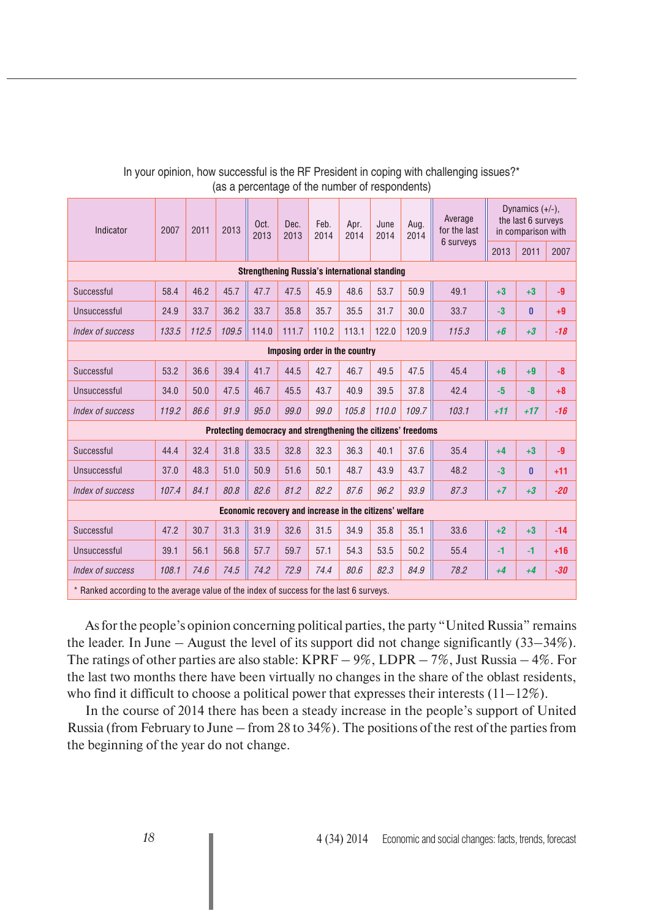| Indicator                                               | 2007  | 2011  | 2013  | Oct.<br>2013                                                  | Dec.<br>2013 | Feb.<br>2014 | Apr.<br>2014 | June<br>2014 | Aug.<br>2014 | Average<br>for the last<br>6 surveys | Dynamics $(+/-)$ .<br>the last 6 surveys<br>in comparison with |       |       |
|---------------------------------------------------------|-------|-------|-------|---------------------------------------------------------------|--------------|--------------|--------------|--------------|--------------|--------------------------------------|----------------------------------------------------------------|-------|-------|
|                                                         |       |       |       |                                                               |              |              |              |              |              |                                      | 2013                                                           | 2011  | 2007  |
| <b>Strengthening Russia's international standing</b>    |       |       |       |                                                               |              |              |              |              |              |                                      |                                                                |       |       |
| Successful                                              | 58.4  | 46.2  | 45.7  | 47.7                                                          | 47.5         | 45.9         | 48.6         | 53.7         | 50.9         | 49.1                                 | $+3$                                                           | $+3$  | $-9$  |
| Unsuccessful                                            | 24.9  | 33.7  | 36.2  | 33.7                                                          | 35.8         | 35.7         | 35.5         | 31.7         | 30.0         | 33.7                                 | $-3$                                                           | 0     | $+9$  |
| Index of success                                        | 133.5 | 112.5 | 109.5 | 114.0                                                         | 111.7        | 110.2        | 113.1        | 122.0        | 120.9        | 115.3                                | $+6$                                                           | $+3$  | $-18$ |
| Imposing order in the country                           |       |       |       |                                                               |              |              |              |              |              |                                      |                                                                |       |       |
| Successful                                              | 53.2  | 36.6  | 39.4  | 41.7                                                          | 44.5         | 42.7         | 46.7         | 49.5         | 47.5         | 45.4                                 | $+6$                                                           | $+9$  | $-8$  |
| Unsuccessful                                            | 34.0  | 50.0  | 47.5  | 46.7                                                          | 45.5         | 43.7         | 40.9         | 39.5         | 37.8         | 42.4                                 | $-5$                                                           | $-8$  | $+8$  |
| Index of success                                        | 119.2 | 86.6  | 91.9  | 95.0                                                          | 99.0         | 99.0         | 105.8        | 110.0        | 109.7        | 103.1                                | $+11$                                                          | $+17$ | $-16$ |
|                                                         |       |       |       | Protecting democracy and strengthening the citizens' freedoms |              |              |              |              |              |                                      |                                                                |       |       |
| Successful                                              | 44.4  | 32.4  | 31.8  | 33.5                                                          | 32.8         | 32.3         | 36.3         | 40.1         | 37.6         | 35.4                                 | $+4$                                                           | $+3$  | $-9$  |
| Unsuccessful                                            | 37.0  | 48.3  | 51.0  | 50.9                                                          | 51.6         | 50.1         | 48.7         | 43.9         | 43.7         | 48.2                                 | $-3$                                                           | 0     | $+11$ |
| Index of success                                        | 107.4 | 84.1  | 80.8  | 82.6                                                          | 81.2         | 82.2         | 87.6         | 96.2         | 93.9         | 87.3                                 | $+7$                                                           | $+3$  | $-20$ |
| Economic recovery and increase in the citizens' welfare |       |       |       |                                                               |              |              |              |              |              |                                      |                                                                |       |       |
| Successful                                              | 47.2  | 30.7  | 31.3  | 31.9                                                          | 32.6         | 31.5         | 34.9         | 35.8         | 35.1         | 33.6                                 | $+2$                                                           | $+3$  | $-14$ |
| Unsuccessful                                            | 39.1  | 56.1  | 56.8  | 57.7                                                          | 59.7         | 57.1         | 54.3         | 53.5         | 50.2         | 55.4                                 | $-1$                                                           | $-1$  | $+16$ |
| Index of success                                        | 108.1 | 74.6  | 74.5  | 74.2                                                          | 72.9         | 74.4         | 80.6         | 82.3         | 84.9         | 78.2                                 | $+4$                                                           | $+4$  | $-30$ |

# In your opinion, how successful is the RF President in coping with challenging issues?\* (as a percentage of the number of respondents)

\* Ranked according to the average value of the index of success for the last 6 surveys.

As for the people's opinion concerning political parties, the party "United Russia" remains the leader. In June – August the level of its support did not change significantly (33–34%). The ratings of other parties are also stable:  $KPRF - 9\%$ , LDPR  $-7\%$ , Just Russia  $-4\%$ . For the last two months there have been virtually no changes in the share of the oblast residents, who find it difficult to choose a political power that expresses their interests  $(11-12\%)$ .

In the course of 2014 there has been a steady increase in the people's support of United Russia (from February to June – from 28 to 34%). The positions of the rest of the parties from the beginning of the year do not change.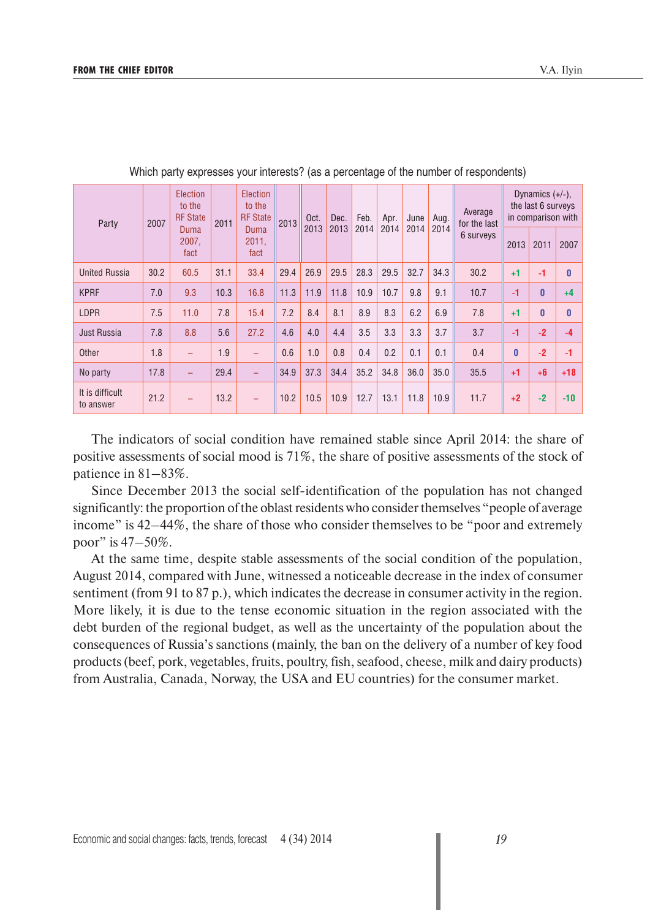| Party                        | 2007                  | <b>Election</b><br>to the<br><b>RF</b> State | 2011                  | Election<br>to the<br><b>RF</b> State | 2013 | Oct. | Dec. | Feb. | Apr. | June | Aug.      | Average<br>for the last |      | Dynamics $(+/-)$ ,<br>the last 6 surveys<br>in comparison with |              |
|------------------------------|-----------------------|----------------------------------------------|-----------------------|---------------------------------------|------|------|------|------|------|------|-----------|-------------------------|------|----------------------------------------------------------------|--------------|
|                              | Duma<br>2007.<br>fact |                                              | Duma<br>2011.<br>fact |                                       | 2013 | 2013 | 2014 | 2014 | 2014 | 2014 | 6 surveys | 2013                    | 2011 | 2007                                                           |              |
| <b>United Russia</b>         | 30.2                  | 60.5                                         | 31.1                  | 33.4                                  | 29.4 | 26.9 | 29.5 | 28.3 | 29.5 | 32.7 | 34.3      | 30.2                    | $+1$ | $-1$                                                           | $\mathbf{0}$ |
| <b>KPRF</b>                  | 7.0                   | 9.3                                          | 10.3                  | 16.8                                  | 11.3 | 11.9 | 11.8 | 10.9 | 10.7 | 9.8  | 9.1       | 10.7                    | $-1$ | $\mathbf{0}$                                                   | $+4$         |
| <b>LDPR</b>                  | 7.5                   | 11.0                                         | 7.8                   | 15.4                                  | 7.2  | 8.4  | 8.1  | 8.9  | 8.3  | 6.2  | 6.9       | 7.8                     | $+1$ | $\mathbf{0}$                                                   | $\bf{0}$     |
| <b>Just Russia</b>           | 7.8                   | 8.8                                          | 5.6                   | 27.2                                  | 4.6  | 4.0  | 4.4  | 3.5  | 3.3  | 3.3  | 3.7       | 3.7                     | $-1$ | $-2$                                                           | $-4$         |
| Other                        | 1.8                   |                                              | 1.9                   |                                       | 0.6  | 1.0  | 0.8  | 0.4  | 0.2  | 0.1  | 0.1       | 0.4                     | 0    | $-2$                                                           | $-1$         |
| No party                     | 17.8                  |                                              | 29.4                  |                                       | 34.9 | 37.3 | 34.4 | 35.2 | 34.8 | 36.0 | 35.0      | 35.5                    | $+1$ | $+6$                                                           | $+18$        |
| It is difficult<br>to answer | 21.2                  |                                              | 13.2                  |                                       | 10.2 | 10.5 | 10.9 | 12.7 | 13.1 | 11.8 | 10.9      | 11.7                    | $+2$ | $-2$                                                           | $-10$        |

Which party expresses your interests? (as a percentage of the number of respondents)

The indicators of social condition have remained stable since April 2014: the share of positive assessments of social mood is 71%, the share of positive assessments of the stock of patience in 81–83%.

Since December 2013 the social self-identification of the population has not changed significantly: the proportion of the oblast residents who consider themselves "people of average income" is  $42-44\%$ , the share of those who consider themselves to be "poor and extremely poor" is 47–50%.

At the same time, despite stable assessments of the social condition of the population, August 2014, compared with June, witnessed a noticeable decrease in the index of consumer sentiment (from 91 to 87 p.), which indicates the decrease in consumer activity in the region. More likely, it is due to the tense economic situation in the region associated with the debt burden of the regional budget, as well as the uncertainty of the population about the consequences of Russia's sanctions (mainly, the ban on the delivery of a number of key food products (beef, pork, vegetables, fruits, poultry, fish, seafood, cheese, milk and dairy products) from Australia, Canada, Norway, the USA and EU countries) for the consumer market.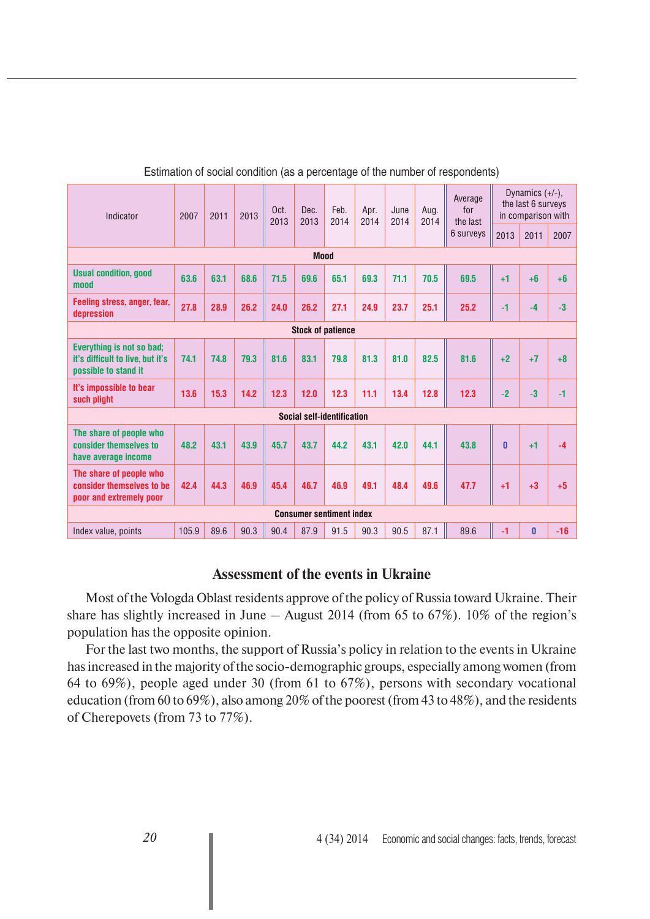| Indicator                                                                             | 2007  | 2011 | 2013 | Oct.<br>2013 | Dec.<br>2013               | Feb.<br>2014 | Apr.<br>2014 | June<br>2014 | Aug.<br>2014 | Average<br>for<br>the last | Dynamics $(+/-)$ ,<br>the last 6 surveys<br>in comparison with |          |       |
|---------------------------------------------------------------------------------------|-------|------|------|--------------|----------------------------|--------------|--------------|--------------|--------------|----------------------------|----------------------------------------------------------------|----------|-------|
|                                                                                       |       |      |      |              |                            |              |              |              |              | 6 surveys                  | 2013                                                           | 2011     | 2007  |
| <b>Mood</b>                                                                           |       |      |      |              |                            |              |              |              |              |                            |                                                                |          |       |
| <b>Usual condition, good</b><br>mood                                                  | 63.6  | 63.1 | 68.6 | 71.5         | 69.6                       | 65.1         | 69.3         | 71.1         | 70.5         | 69.5                       | $+1$                                                           | $+6$     | $+6$  |
| Feeling stress, anger, fear,<br>depression                                            | 27.8  | 28.9 | 26.2 | 24.0         | 26.2                       | 27.1         | 24.9         | 23.7         | 25.1         | 25.2                       | $-1$                                                           | $-4$     | $-3$  |
| <b>Stock of patience</b>                                                              |       |      |      |              |                            |              |              |              |              |                            |                                                                |          |       |
| Everything is not so bad;<br>it's difficult to live, but it's<br>possible to stand it | 74.1  | 74.8 | 79.3 | 81.6         | 83.1                       | 79.8         | 81.3         | 81.0         | 82.5         | 81.6                       | $+2$                                                           | $+7$     | $+8$  |
| It's impossible to bear<br>such plight                                                | 13.6  | 15.3 | 14.2 | 12.3         | 12.0                       | 12.3         | 11.1         | 13.4         | 12.8         | 12.3                       | $-2$                                                           | $-3$     | $-1$  |
|                                                                                       |       |      |      |              | Social self-identification |              |              |              |              |                            |                                                                |          |       |
| The share of people who<br>consider themselves to<br>have average income              | 48.2  | 43.1 | 43.9 | 45.7         | 43.7                       | 44.2         | 43.1         | 42.0         | 44.1         | 43.8                       | $\mathbf{0}$                                                   | $+1$     | $-4$  |
| The share of people who<br>consider themselves to be<br>poor and extremely poor       | 42.4  | 44.3 | 46.9 | 45.4         | 46.7                       | 46.9         | 49.1         | 48.4         | 49.6         | 47.7                       | $+1$                                                           | $+3$     | $+5$  |
| <b>Consumer sentiment index</b>                                                       |       |      |      |              |                            |              |              |              |              |                            |                                                                |          |       |
| Index value, points                                                                   | 105.9 | 89.6 | 90.3 | 90.4         | 87.9                       | 91.5         | 90.3         | 90.5         | 87.1         | 89.6                       | $-1$                                                           | $\bf{0}$ | $-16$ |

Estimation of social condition (as a percentage of the number of respondents)

# **Assessment of the events in Ukraine**

Most of the Vologda Oblast residents approve of the policy of Russia toward Ukraine. Their share has slightly increased in June – August 2014 (from 65 to  $67\%$ ). 10% of the region's population has the opposite opinion.

For the last two months, the support of Russia's policy in relation to the events in Ukraine has increased in the majority of the socio-demographic groups, especially among women (from 64 to 69%), people aged under 30 (from 61 to 67%), persons with secondary vocational education (from 60 to 69%), also among 20% of the poorest (from 43 to 48%), and the residents of Cherepovets (from 73 to 77%).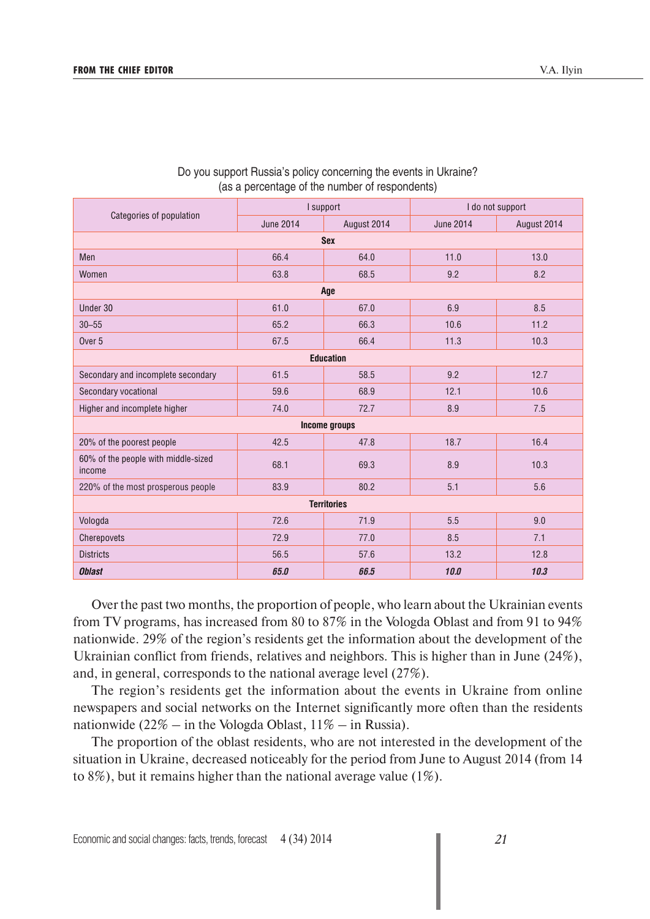|                                               |                                 | I support          | I do not support |             |  |  |  |  |  |  |  |  |
|-----------------------------------------------|---------------------------------|--------------------|------------------|-------------|--|--|--|--|--|--|--|--|
| Categories of population                      | <b>June 2014</b><br>August 2014 |                    | <b>June 2014</b> | August 2014 |  |  |  |  |  |  |  |  |
| <b>Sex</b>                                    |                                 |                    |                  |             |  |  |  |  |  |  |  |  |
| Men                                           | 66.4                            | 64.0               | 11.0             | 13.0        |  |  |  |  |  |  |  |  |
| Women                                         | 63.8                            | 68.5               | 9.2              | 8.2         |  |  |  |  |  |  |  |  |
| Age                                           |                                 |                    |                  |             |  |  |  |  |  |  |  |  |
| Under 30                                      | 61.0                            | 67.0               | 6.9              | 8.5         |  |  |  |  |  |  |  |  |
| $30 - 55$                                     | 65.2                            | 66.3               | 10.6             | 11.2        |  |  |  |  |  |  |  |  |
| Over <sub>5</sub>                             | 67.5                            | 66.4               | 11.3             | 10.3        |  |  |  |  |  |  |  |  |
| <b>Education</b>                              |                                 |                    |                  |             |  |  |  |  |  |  |  |  |
| Secondary and incomplete secondary            | 61.5                            | 58.5               | 9.2              | 12.7        |  |  |  |  |  |  |  |  |
| Secondary vocational                          | 59.6                            | 68.9               | 12.1             | 10.6        |  |  |  |  |  |  |  |  |
| Higher and incomplete higher                  | 74.0                            | 72.7               | 8.9              | 7.5         |  |  |  |  |  |  |  |  |
|                                               |                                 | Income groups      |                  |             |  |  |  |  |  |  |  |  |
| 20% of the poorest people                     | 42.5                            | 47.8               | 18.7             | 16.4        |  |  |  |  |  |  |  |  |
| 60% of the people with middle-sized<br>income | 68.1                            | 69.3               | 8.9              | 10.3        |  |  |  |  |  |  |  |  |
| 220% of the most prosperous people            | 83.9                            | 80.2               | 5.1              | 5.6         |  |  |  |  |  |  |  |  |
|                                               |                                 | <b>Territories</b> |                  |             |  |  |  |  |  |  |  |  |
| Vologda                                       | 72.6                            | 71.9               | 5.5              | 9.0         |  |  |  |  |  |  |  |  |
| Cherepovets                                   | 72.9                            | 77.0               | 8.5              | 7.1         |  |  |  |  |  |  |  |  |
| <b>Districts</b>                              | 56.5                            | 57.6               | 13.2             | 12.8        |  |  |  |  |  |  |  |  |
| <b>Oblast</b>                                 | 65.0                            | 66.5               | 10.0             | 10.3        |  |  |  |  |  |  |  |  |

#### Do you support Russia's policy concerning the events in Ukraine? (as a percentage of the number of respondents)

Over the past two months, the proportion of people, who learn about the Ukrainian events from TV programs, has increased from 80 to 87% in the Vologda Oblast and from 91 to 94% nationwide. 29% of the region's residents get the information about the development of the Ukrainian conflict from friends, relatives and neighbors. This is higher than in June (24%), and, in general, corresponds to the national average level (27%).

The region's residents get the information about the events in Ukraine from online newspapers and social networks on the Internet significantly more often than the residents nationwide (22% – in the Vologda Oblast,  $11\%$  – in Russia).

The proportion of the oblast residents, who are not interested in the development of the situation in Ukraine, decreased noticeably for the period from June to August 2014 (from 14 to 8%), but it remains higher than the national average value (1%).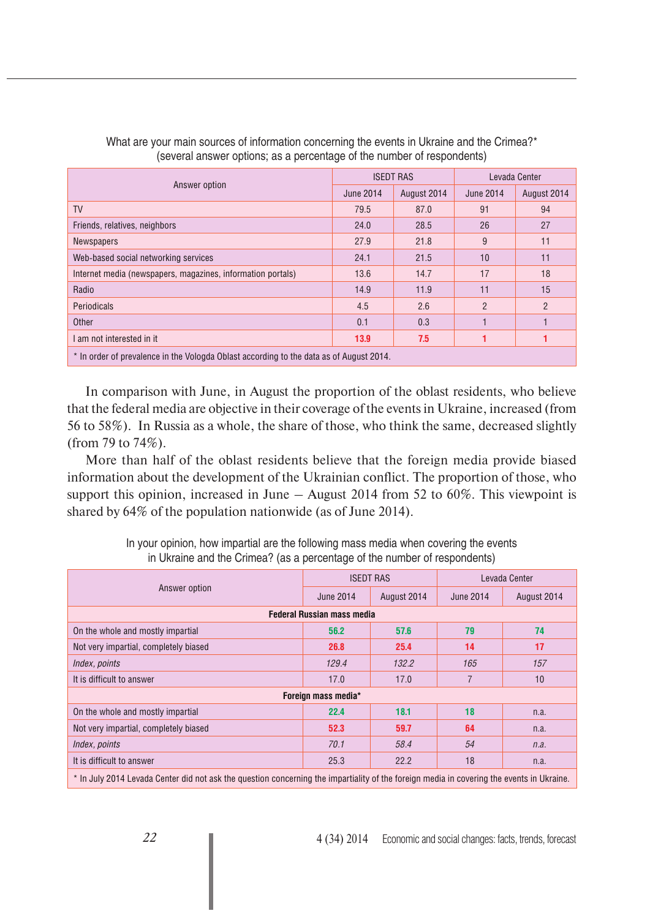|                                                                                         | <b>ISEDT RAS</b> |             | Levada Center    |                |  |
|-----------------------------------------------------------------------------------------|------------------|-------------|------------------|----------------|--|
| Answer option                                                                           | June 2014        | August 2014 | <b>June 2014</b> | August 2014    |  |
| <b>TV</b>                                                                               | 79.5             | 87.0        | 91               | 94             |  |
| Friends, relatives, neighbors                                                           | 24.0             | 28.5        | 26               | 27             |  |
| <b>Newspapers</b>                                                                       | 27.9             | 21.8        | 9                | 11             |  |
| Web-based social networking services                                                    | 24.1             | 21.5        | 10               | 11             |  |
| Internet media (newspapers, magazines, information portals)                             | 13.6             | 14.7        | 17               | 18             |  |
| Radio                                                                                   | 14.9             | 11.9        | 11               | 15             |  |
| Periodicals                                                                             | 4.5              | 2.6         | $\overline{2}$   | $\overline{2}$ |  |
| Other                                                                                   | 0.1              | 0.3         |                  |                |  |
| I am not interested in it                                                               | 13.9             | 7.5         |                  |                |  |
| * In order of prevalence in the Vologda Oblast according to the data as of August 2014. |                  |             |                  |                |  |

What are your main sources of information concerning the events in Ukraine and the Crimea?\* (several answer options; as a percentage of the number of respondents)

In comparison with June, in August the proportion of the oblast residents, who believe that the federal media are objective in their coverage of the events in Ukraine, increased (from 56 to 58%). In Russia as a whole, the share of those, who think the same, decreased slightly (from 79 to 74%).

More than half of the oblast residents believe that the foreign media provide biased information about the development of the Ukrainian conflict. The proportion of those, who support this opinion, increased in June – August 2014 from 52 to 60%. This viewpoint is shared by 64% of the population nationwide (as of June 2014).

|                                                                                                                                           |                     | <b>ISEDT RAS</b> | Levada Center    |             |  |  |  |  |  |
|-------------------------------------------------------------------------------------------------------------------------------------------|---------------------|------------------|------------------|-------------|--|--|--|--|--|
| Answer option                                                                                                                             | June 2014           | August 2014      | <b>June 2014</b> | August 2014 |  |  |  |  |  |
| <b>Federal Russian mass media</b>                                                                                                         |                     |                  |                  |             |  |  |  |  |  |
| On the whole and mostly impartial                                                                                                         | 56.2                | 57.6             | 79               | 74          |  |  |  |  |  |
| Not very impartial, completely biased                                                                                                     | 26.8                | 25.4             | 14               | 17          |  |  |  |  |  |
| Index, points                                                                                                                             | 129.4               | 132.2            | 165              | 157         |  |  |  |  |  |
| It is difficult to answer                                                                                                                 | 17.0                | 17.0             | 7                | 10          |  |  |  |  |  |
|                                                                                                                                           | Foreign mass media* |                  |                  |             |  |  |  |  |  |
| On the whole and mostly impartial                                                                                                         | 22.4                | 18.1             | 18               | n.a.        |  |  |  |  |  |
| Not very impartial, completely biased                                                                                                     | 52.3                | 59.7             | 64               | n.a.        |  |  |  |  |  |
| Index, points                                                                                                                             | 70.1                | 58.4             | 54               | n.a.        |  |  |  |  |  |
| It is difficult to answer                                                                                                                 | 25.3                | 22.2             | 18               | n.a.        |  |  |  |  |  |
| * In July 2014 Levada Center did not ask the question concerning the impartiality of the foreign media in covering the events in Ukraine. |                     |                  |                  |             |  |  |  |  |  |

In your opinion, how impartial are the following mass media when covering the events in Ukraine and the Crimea? (as a percentage of the number of respondents)